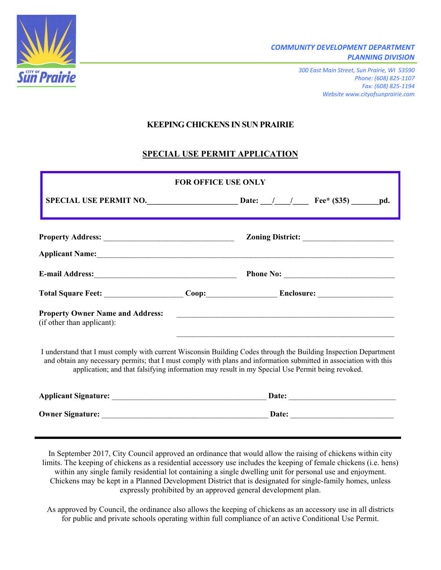

*300 East Main Street, Sun Prairie, WI 53590 Phone: (608) 825-1107 Fax: (608) 825-1194 Website www.cityofsunprairie.com*

## **KEEPING CHICKENS IN SUN PRAIRIE**

# **SPECIAL USE PERMIT APPLICATION**

|                                                                                                                                                                                                                                                                                                                                           | <b>FOR OFFICE USE ONLY</b> |                                                               |  |
|-------------------------------------------------------------------------------------------------------------------------------------------------------------------------------------------------------------------------------------------------------------------------------------------------------------------------------------------|----------------------------|---------------------------------------------------------------|--|
|                                                                                                                                                                                                                                                                                                                                           |                            |                                                               |  |
|                                                                                                                                                                                                                                                                                                                                           |                            |                                                               |  |
| Applicant Name: Applicant Name:                                                                                                                                                                                                                                                                                                           |                            |                                                               |  |
|                                                                                                                                                                                                                                                                                                                                           |                            |                                                               |  |
|                                                                                                                                                                                                                                                                                                                                           |                            |                                                               |  |
| <b>Property Owner Name and Address:</b><br>(if other than applicant):                                                                                                                                                                                                                                                                     |                            | <u> 1999 - Johann Barbara, markazar margolaria (h. 1989).</u> |  |
| I understand that I must comply with current Wisconsin Building Codes through the Building Inspection Department<br>and obtain any necessary permits; that I must comply with plans and information submitted in association with this<br>application; and that falsifying information may result in my Special Use Permit being revoked. |                            |                                                               |  |
|                                                                                                                                                                                                                                                                                                                                           |                            |                                                               |  |
|                                                                                                                                                                                                                                                                                                                                           |                            |                                                               |  |

In September 2017, City Council approved an ordinance that would allow the raising of chickens within city limits. The keeping of chickens as a residential accessory use includes the keeping of female chickens (i.e. hens) within any single family residential lot containing a single dwelling unit for personal use and enjoyment. Chickens may be kept in a Planned Development District that is designated for single-family homes, unless expressly prohibited by an approved general development plan.

As approved by Council, the ordinance also allows the keeping of chickens as an accessory use in all districts for public and private schools operating within full compliance of an active Conditional Use Permit.